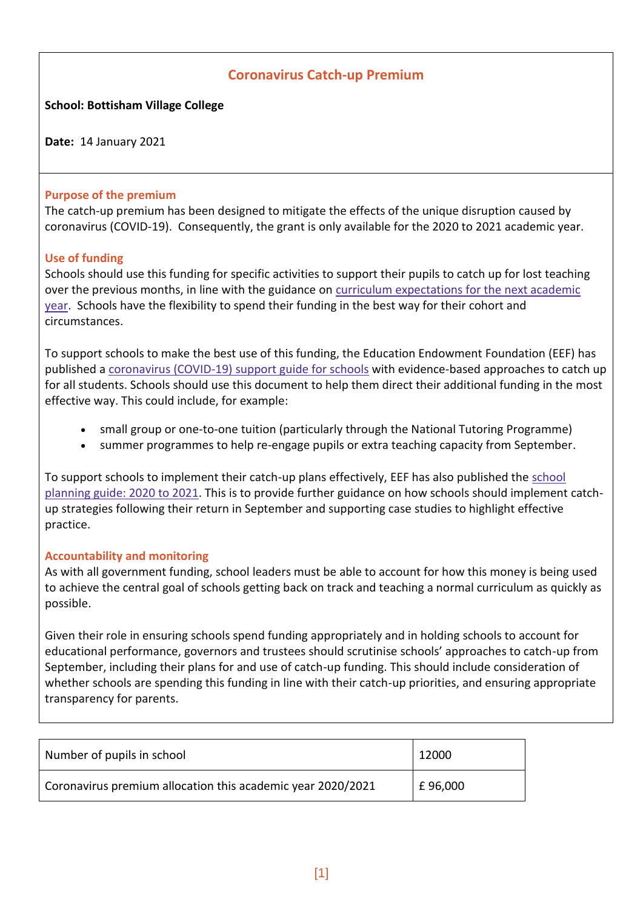# **Coronavirus Catch-up Premium**

## **School: Bottisham Village College**

**Date:** 14 January 2021

#### **Purpose of the premium**

The catch-up premium has been designed to mitigate the effects of the unique disruption caused by coronavirus (COVID-19). Consequently, the grant is only available for the 2020 to 2021 academic year.

## **Use of funding**

Schools should use this funding for specific activities to support their pupils to catch up for lost teaching over the previous months, in line with the guidance on curriculum [expectations](https://www.gov.uk/government/publications/actions-for-schools-during-the-coronavirus-outbreak/guidance-for-full-opening-schools#section-3-curriculum-behaviour-and-pastoral-support) for the next academic [year.](https://www.gov.uk/government/publications/actions-for-schools-during-the-coronavirus-outbreak/guidance-for-full-opening-schools#section-3-curriculum-behaviour-and-pastoral-support) Schools have the flexibility to spend their funding in the best way for their cohort and circumstances.

To support schools to make the best use of this funding, the Education Endowment Foundation (EEF) has published a [coronavirus](https://educationendowmentfoundation.org.uk/covid-19-resources/covid-19-support-guide-for-schools/#nav-covid-19-support-guide-for-schools1) (COVID-19) support guide for schools with evidence-based approaches to catch up for all students. Schools should use this document to help them direct their additional funding in the most effective way. This could include, for example:

- small group or one-to-one tuition (particularly through the National Tutoring Programme)
- summer programmes to help re-engage pupils or extra teaching capacity from September.

To support schools to implement their catch-up plans effectively, EEF has also published the [school](https://educationendowmentfoundation.org.uk/covid-19-resources/guide-to-supporting-schools-planning/) [planning](https://educationendowmentfoundation.org.uk/covid-19-resources/guide-to-supporting-schools-planning/) guide: 2020 to 2021. This is to provide further guidance on how schools should implement catchup strategies following their return in September and supporting case studies to highlight effective practice.

#### **Accountability and monitoring**

As with all government funding, school leaders must be able to account for how this money is being used to achieve the central goal of schools getting back on track and teaching a normal curriculum as quickly as possible.

Given their role in ensuring schools spend funding appropriately and in holding schools to account for educational performance, governors and trustees should scrutinise schools' approaches to catch-up from September, including their plans for and use of catch-up funding. This should include consideration of whether schools are spending this funding in line with their catch-up priorities, and ensuring appropriate transparency for parents.

| Number of pupils in school                                  | 12000   |
|-------------------------------------------------------------|---------|
| Coronavirus premium allocation this academic year 2020/2021 | £96,000 |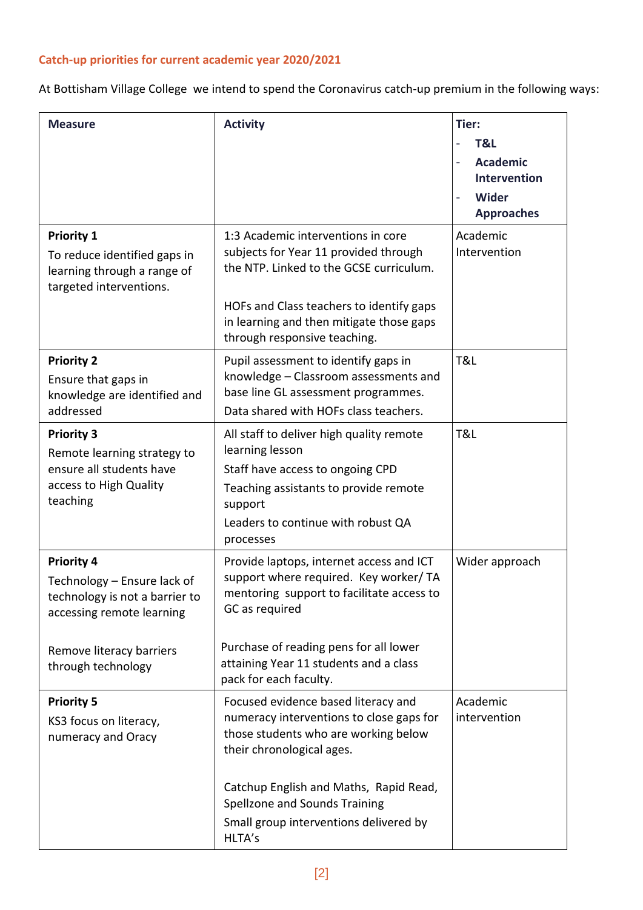# **Catch-up priorities for current academic year 2020/2021**

At Bottisham Village College we intend to spend the Coronavirus catch-up premium in the following ways:

| <b>Measure</b>                                                                                                                                                    | <b>Activity</b>                                                                                                                                                                                                                                                                     | Tier:<br>T&L<br><b>Academic</b><br>Intervention<br><b>Wider</b><br><b>Approaches</b> |
|-------------------------------------------------------------------------------------------------------------------------------------------------------------------|-------------------------------------------------------------------------------------------------------------------------------------------------------------------------------------------------------------------------------------------------------------------------------------|--------------------------------------------------------------------------------------|
| <b>Priority 1</b><br>To reduce identified gaps in<br>learning through a range of<br>targeted interventions.                                                       | 1:3 Academic interventions in core<br>subjects for Year 11 provided through<br>the NTP. Linked to the GCSE curriculum.<br>HOFs and Class teachers to identify gaps<br>in learning and then mitigate those gaps<br>through responsive teaching.                                      | Academic<br>Intervention                                                             |
| <b>Priority 2</b><br>Ensure that gaps in<br>knowledge are identified and<br>addressed                                                                             | Pupil assessment to identify gaps in<br>knowledge - Classroom assessments and<br>base line GL assessment programmes.<br>Data shared with HOFs class teachers.                                                                                                                       | T&L                                                                                  |
| <b>Priority 3</b><br>Remote learning strategy to<br>ensure all students have<br>access to High Quality<br>teaching                                                | All staff to deliver high quality remote<br>learning lesson<br>Staff have access to ongoing CPD<br>Teaching assistants to provide remote<br>support<br>Leaders to continue with robust QA<br>processes                                                                              | T&L                                                                                  |
| <b>Priority 4</b><br>Technology - Ensure lack of<br>technology is not a barrier to<br>accessing remote learning<br>Remove literacy barriers<br>through technology | Provide laptops, internet access and ICT<br>support where required. Key worker/ TA<br>mentoring support to facilitate access to<br>GC as required<br>Purchase of reading pens for all lower<br>attaining Year 11 students and a class<br>pack for each faculty.                     | Wider approach                                                                       |
| <b>Priority 5</b><br>KS3 focus on literacy,<br>numeracy and Oracy                                                                                                 | Focused evidence based literacy and<br>numeracy interventions to close gaps for<br>those students who are working below<br>their chronological ages.<br>Catchup English and Maths, Rapid Read,<br>Spellzone and Sounds Training<br>Small group interventions delivered by<br>HLTA's | Academic<br>intervention                                                             |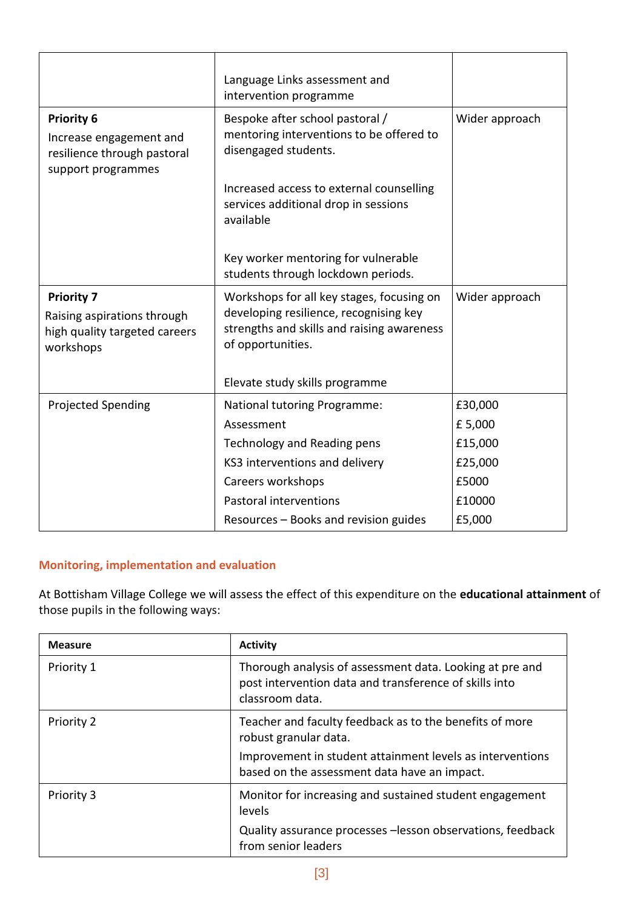|                                                                                                   | Language Links assessment and<br>intervention programme                                                                                                |                |
|---------------------------------------------------------------------------------------------------|--------------------------------------------------------------------------------------------------------------------------------------------------------|----------------|
| <b>Priority 6</b><br>Increase engagement and<br>resilience through pastoral<br>support programmes | Bespoke after school pastoral /<br>mentoring interventions to be offered to<br>disengaged students.                                                    | Wider approach |
|                                                                                                   | Increased access to external counselling<br>services additional drop in sessions<br>available                                                          |                |
|                                                                                                   | Key worker mentoring for vulnerable<br>students through lockdown periods.                                                                              |                |
| <b>Priority 7</b><br>Raising aspirations through<br>high quality targeted careers<br>workshops    | Workshops for all key stages, focusing on<br>developing resilience, recognising key<br>strengths and skills and raising awareness<br>of opportunities. | Wider approach |
|                                                                                                   | Elevate study skills programme                                                                                                                         |                |
| <b>Projected Spending</b>                                                                         | National tutoring Programme:                                                                                                                           | £30,000        |
|                                                                                                   | Assessment                                                                                                                                             | £5,000         |
|                                                                                                   | Technology and Reading pens                                                                                                                            | £15,000        |
|                                                                                                   | KS3 interventions and delivery                                                                                                                         | £25,000        |
|                                                                                                   | Careers workshops                                                                                                                                      | £5000          |
|                                                                                                   | Pastoral interventions                                                                                                                                 | £10000         |
|                                                                                                   | Resources - Books and revision guides                                                                                                                  | £5,000         |

## **Monitoring, implementation and evaluation**

At Bottisham Village College we will assess the effect of this expenditure on the **educational attainment** of those pupils in the following ways:

| <b>Measure</b> | <b>Activity</b>                                                                                                                       |
|----------------|---------------------------------------------------------------------------------------------------------------------------------------|
| Priority 1     | Thorough analysis of assessment data. Looking at pre and<br>post intervention data and transference of skills into<br>classroom data. |
| Priority 2     | Teacher and faculty feedback as to the benefits of more<br>robust granular data.                                                      |
|                | Improvement in student attainment levels as interventions<br>based on the assessment data have an impact.                             |
| Priority 3     | Monitor for increasing and sustained student engagement<br>levels                                                                     |
|                | Quality assurance processes -lesson observations, feedback<br>from senior leaders                                                     |